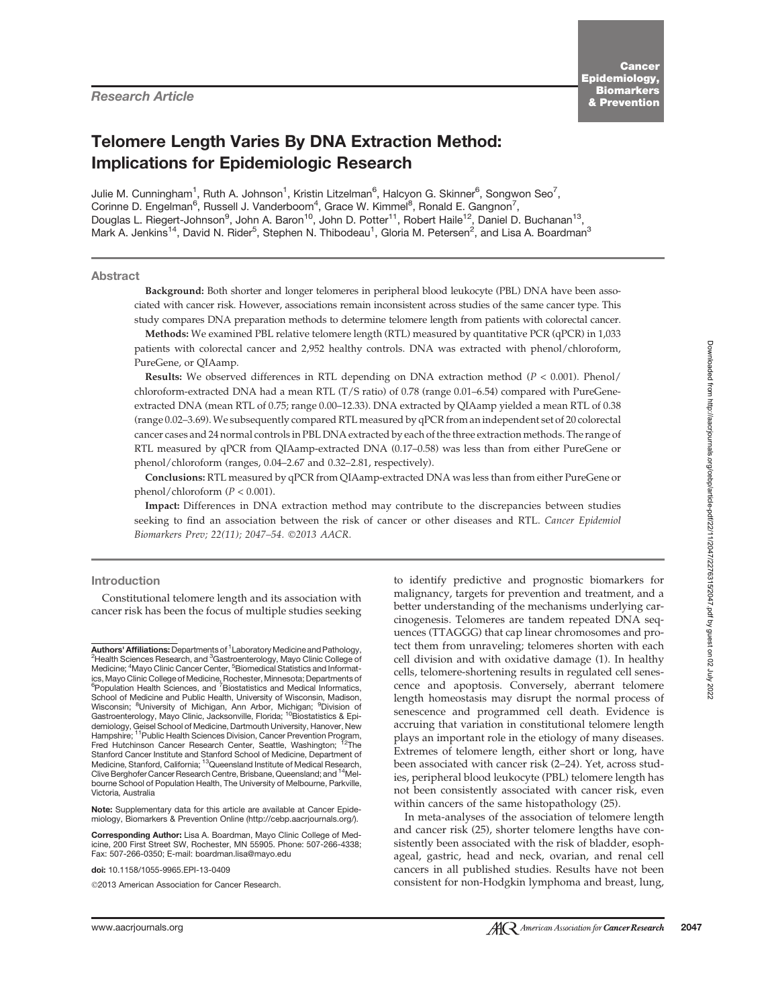# Telomere Length Varies By DNA Extraction Method: Implications for Epidemiologic Research

Julie M. Cunningham<sup>1</sup>, Ruth A. Johnson<sup>1</sup>, Kristin Litzelman<sup>6</sup>, Halcyon G. Skinner<sup>6</sup>, Songwon Seo<sup>7</sup>, Corinne D. Engelman<sup>6</sup>, Russell J. Vanderboom<sup>4</sup>, Grace W. Kimmel<sup>8</sup>, Ronald E. Gangnon<sup>7</sup>, Douglas L. Riegert-Johnson<sup>9</sup>, John A. Baron<sup>10</sup>, John D. Potter<sup>11</sup>, Robert Haile<sup>12</sup>, Daniel D. Buchanan<sup>13</sup>, Mark A. Jenkins<sup>14</sup>, David N. Rider<sup>5</sup>, Stephen N. Thibodeau<sup>1</sup>, Gloria M. Petersen<sup>2</sup>, and Lisa A. Boardman<sup>3</sup>

# Abstract

Background: Both shorter and longer telomeres in peripheral blood leukocyte (PBL) DNA have been associated with cancer risk. However, associations remain inconsistent across studies of the same cancer type. This study compares DNA preparation methods to determine telomere length from patients with colorectal cancer.

Methods: We examined PBL relative telomere length (RTL) measured by quantitative PCR (qPCR) in 1,033 patients with colorectal cancer and 2,952 healthy controls. DNA was extracted with phenol/chloroform, PureGene, or QIAamp.

**Results:** We observed differences in RTL depending on DNA extraction method  $(P < 0.001)$ . Phenol/ chloroform-extracted DNA had a mean RTL (T/S ratio) of 0.78 (range 0.01–6.54) compared with PureGeneextracted DNA (mean RTL of 0.75; range 0.00–12.33). DNA extracted by QIAamp yielded a mean RTL of 0.38 (range 0.02–3.69).We subsequently compared RTL measured by qPCR from an independent set of 20 colorectal cancer cases and 24 normal controls in PBL DNA extracted by each of the three extraction methods. The range of RTL measured by qPCR from QIAamp-extracted DNA (0.17–0.58) was less than from either PureGene or phenol/chloroform (ranges, 0.04–2.67 and 0.32–2.81, respectively).

Conclusions: RTL measured by qPCR from QIAamp-extracted DNA was less than from either PureGene or phenol/chloroform ( $P < 0.001$ ).

Impact: Differences in DNA extraction method may contribute to the discrepancies between studies seeking to find an association between the risk of cancer or other diseases and RTL. Cancer Epidemiol Biomarkers Prev; 22(11); 2047-54. ©2013 AACR.

# Introduction

Constitutional telomere length and its association with cancer risk has been the focus of multiple studies seeking

Note: Supplementary data for this article are available at Cancer Epidemiology, Biomarkers & Prevention Online (http://cebp.aacrjournals.org/).

Corresponding Author: Lisa A. Boardman, Mayo Clinic College of Medicine, 200 First Street SW, Rochester, MN 55905. Phone: 507-266-4338; Fax: 507-266-0350; E-mail: boardman.lisa@mayo.edu

doi: 10.1158/1055-9965.EPI-13-0409

©2013 American Association for Cancer Research.

to identify predictive and prognostic biomarkers for malignancy, targets for prevention and treatment, and a better understanding of the mechanisms underlying carcinogenesis. Telomeres are tandem repeated DNA sequences (TTAGGG) that cap linear chromosomes and protect them from unraveling; telomeres shorten with each cell division and with oxidative damage (1). In healthy cells, telomere-shortening results in regulated cell senescence and apoptosis. Conversely, aberrant telomere length homeostasis may disrupt the normal process of senescence and programmed cell death. Evidence is accruing that variation in constitutional telomere length plays an important role in the etiology of many diseases. Extremes of telomere length, either short or long, have been associated with cancer risk (2–24). Yet, across studies, peripheral blood leukocyte (PBL) telomere length has not been consistently associated with cancer risk, even within cancers of the same histopathology (25).

In meta-analyses of the association of telomere length and cancer risk (25), shorter telomere lengths have consistently been associated with the risk of bladder, esophageal, gastric, head and neck, ovarian, and renal cell cancers in all published studies. Results have not been consistent for non-Hodgkin lymphoma and breast, lung,

**Authors' Affiliations:** Departments of <sup>1</sup> Laboratory Medicine and Pathology,<br><sup>2</sup> Health Sciences Besearch, and <sup>3</sup>Gestroenterology, Mayo Clinic College of <sup>2</sup>Health Sciences Research, and <sup>3</sup>Gastroenterology, Mayo Clinic College of<br>Medicine; <sup>4</sup>Mayo Clinic Cancer Center, <sup>5</sup>Biomedical Statistics and Informatics, Mayo Clinic College of Medicine, Rochester, Minnesota; Departments of <sup>6</sup>Population Health Sciences, and <sup>7</sup>Biostatistics and Medical Informatics, School of Medicine and Public Health, University of Wisconsin, Madison, Wisconsin; <sup>8</sup>University of Michigan, Ann Arbor, Michigan; <sup>9</sup>Division of<br>Gastroenterology, Mayo Clinic, Jacksonville, Florida; <sup>10</sup>Biostatistics & Epidemiology, Geisel School of Medicine, Dartmouth University, Hanover, New<br>Hampshire; <sup>11</sup>Public Health Sciences Division, Cancer Prevention Program,<br>Fred Hutchinson Cancer Research Center, Seattle, Washington; <sup>12</sup>The Stanford Cancer Institute and Stanford School of Medicine, Department of<br>Medicine, Stanford, California; <sup>13</sup>Queensland Institute of Medical Research, Clive Berghofer Cancer Research Centre, Brisbane, Queensland; and 14Melbourne School of Population Health, The University of Melbourne, Parkville, Victoria, Australia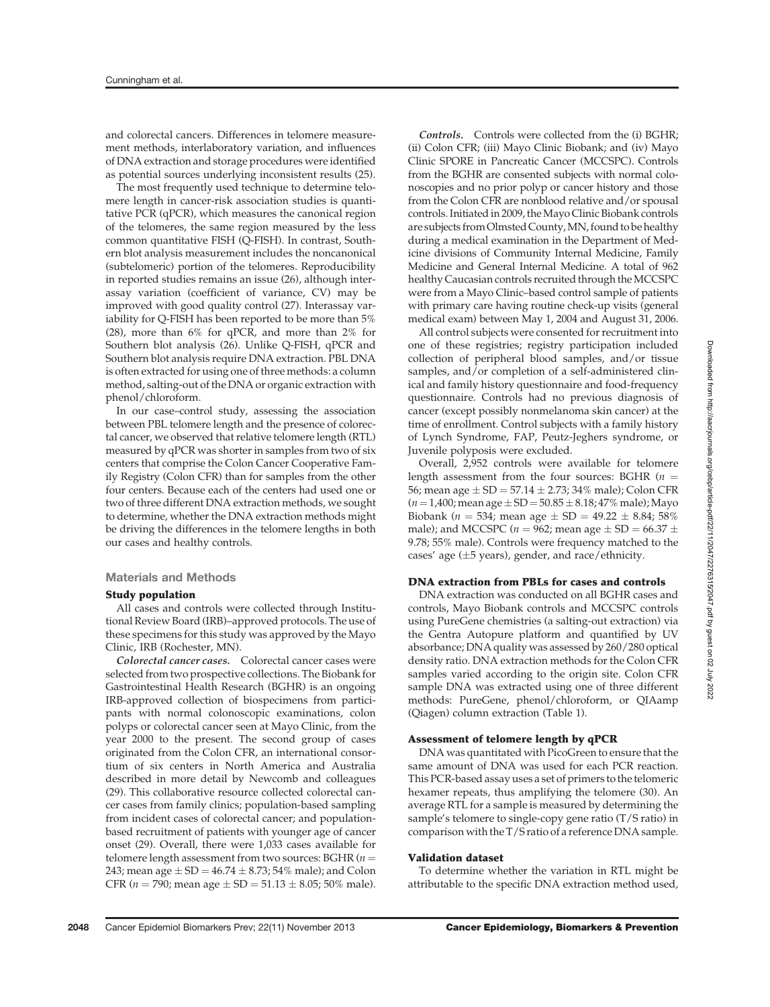and colorectal cancers. Differences in telomere measurement methods, interlaboratory variation, and influences of DNA extraction and storage procedures were identified as potential sources underlying inconsistent results (25).

The most frequently used technique to determine telomere length in cancer-risk association studies is quantitative PCR (qPCR), which measures the canonical region of the telomeres, the same region measured by the less common quantitative FISH (Q-FISH). In contrast, Southern blot analysis measurement includes the noncanonical (subtelomeric) portion of the telomeres. Reproducibility in reported studies remains an issue (26), although interassay variation (coefficient of variance, CV) may be improved with good quality control (27). Interassay variability for Q-FISH has been reported to be more than 5% (28), more than 6% for qPCR, and more than 2% for Southern blot analysis (26). Unlike Q-FISH, qPCR and Southern blot analysis require DNA extraction. PBL DNA is often extracted for using one of three methods: a column method, salting-out of the DNA or organic extraction with phenol/chloroform.

In our case–control study, assessing the association between PBL telomere length and the presence of colorectal cancer, we observed that relative telomere length (RTL) measured by qPCR was shorter in samples from two of six centers that comprise the Colon Cancer Cooperative Family Registry (Colon CFR) than for samples from the other four centers. Because each of the centers had used one or two of three different DNA extraction methods, we sought to determine, whether the DNA extraction methods might be driving the differences in the telomere lengths in both our cases and healthy controls.

## Materials and Methods

## Study population

All cases and controls were collected through Institutional Review Board (IRB)–approved protocols. The use of these specimens for this study was approved by the Mayo Clinic, IRB (Rochester, MN).

Colorectal cancer cases. Colorectal cancer cases were selected from two prospective collections. The Biobank for Gastrointestinal Health Research (BGHR) is an ongoing IRB-approved collection of biospecimens from participants with normal colonoscopic examinations, colon polyps or colorectal cancer seen at Mayo Clinic, from the year 2000 to the present. The second group of cases originated from the Colon CFR, an international consortium of six centers in North America and Australia described in more detail by Newcomb and colleagues (29). This collaborative resource collected colorectal cancer cases from family clinics; population-based sampling from incident cases of colorectal cancer; and populationbased recruitment of patients with younger age of cancer onset (29). Overall, there were 1,033 cases available for telomere length assessment from two sources: BGHR ( $n =$  $243$ ; mean age  $\pm$  SD =  $46.74 \pm 8.73$ ; 54% male); and Colon CFR (*n* = 790; mean age  $\pm$  SD = 51.13  $\pm$  8.05; 50% male).

Controls. Controls were collected from the (i) BGHR; (ii) Colon CFR; (iii) Mayo Clinic Biobank; and (iv) Mayo Clinic SPORE in Pancreatic Cancer (MCCSPC). Controls from the BGHR are consented subjects with normal colonoscopies and no prior polyp or cancer history and those from the Colon CFR are nonblood relative and/or spousal controls. Initiated in 2009, the Mayo Clinic Biobank controls are subjects fromOlmsted County,MN, found to be healthy during a medical examination in the Department of Medicine divisions of Community Internal Medicine, Family Medicine and General Internal Medicine. A total of 962 healthy Caucasian controls recruited through the MCCSPC were from a Mayo Clinic–based control sample of patients with primary care having routine check-up visits (general medical exam) between May 1, 2004 and August 31, 2006.

All control subjects were consented for recruitment into one of these registries; registry participation included collection of peripheral blood samples, and/or tissue samples, and/or completion of a self-administered clinical and family history questionnaire and food-frequency questionnaire. Controls had no previous diagnosis of cancer (except possibly nonmelanoma skin cancer) at the time of enrollment. Control subjects with a family history of Lynch Syndrome, FAP, Peutz-Jeghers syndrome, or Juvenile polyposis were excluded.

Overall, 2,952 controls were available for telomere length assessment from the four sources: BGHR ( $n =$  $56$ ; mean age  $\pm$  SD = 57.14  $\pm$  2.73; 34% male); Colon CFR  $(n = 1,400;$  mean age  $\pm$  SD = 50.85  $\pm$  8.18; 47% male); Mayo Biobank (*n* = 534; mean age  $\pm$  SD = 49.22  $\pm$  8.84; 58% male); and MCCSPC ( $n = 962$ ; mean age  $\pm$  SD = 66.37  $\pm$ 9.78; 55% male). Controls were frequency matched to the  $cases'$  age ( $\pm 5$  years), gender, and race/ethnicity.

#### DNA extraction from PBLs for cases and controls

DNA extraction was conducted on all BGHR cases and controls, Mayo Biobank controls and MCCSPC controls using PureGene chemistries (a salting-out extraction) via the Gentra Autopure platform and quantified by UV absorbance; DNA quality was assessed by 260/280 optical density ratio. DNA extraction methods for the Colon CFR samples varied according to the origin site. Colon CFR sample DNA was extracted using one of three different methods: PureGene, phenol/chloroform, or QIAamp (Qiagen) column extraction (Table 1).

#### Assessment of telomere length by qPCR

DNA was quantitated with PicoGreen to ensure that the same amount of DNA was used for each PCR reaction. This PCR-based assay uses a set of primers to the telomeric hexamer repeats, thus amplifying the telomere (30). An average RTL for a sample is measured by determining the sample's telomere to single-copy gene ratio (T/S ratio) in comparison with the T/S ratio of a reference DNA sample.

#### Validation dataset

To determine whether the variation in RTL might be attributable to the specific DNA extraction method used,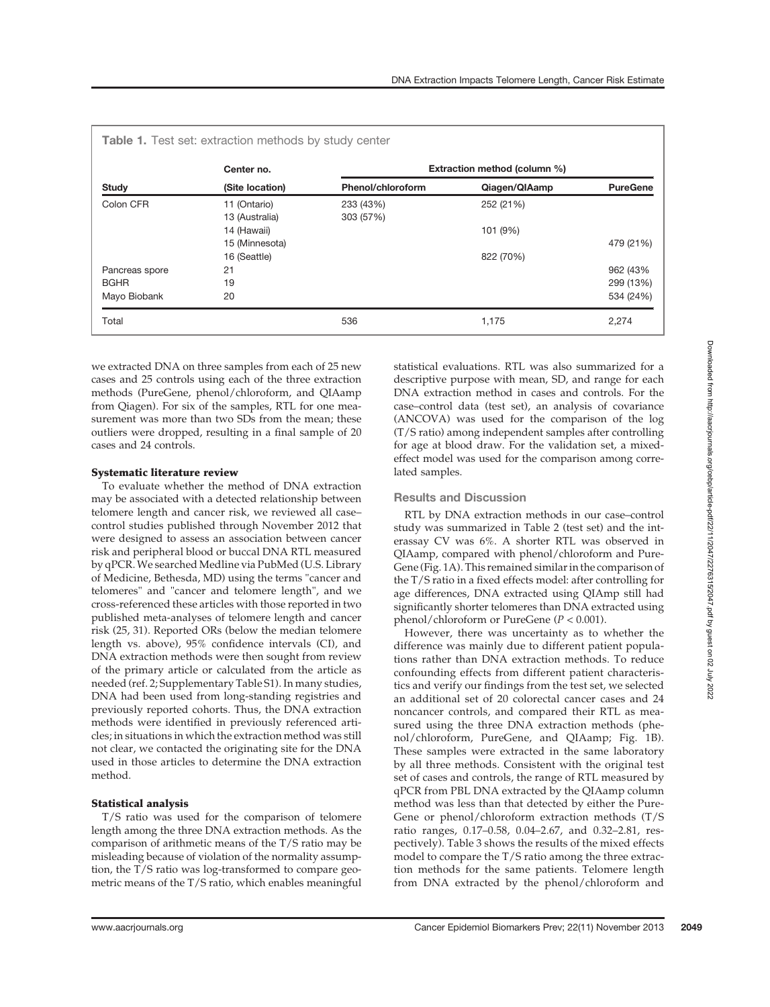| <b>Study</b>   | Center no.<br>(Site location) | <b>Extraction method (column %)</b> |               |                 |  |
|----------------|-------------------------------|-------------------------------------|---------------|-----------------|--|
|                |                               | Phenol/chloroform                   | Qiagen/QIAamp | <b>PureGene</b> |  |
| Colon CFR      | 11 (Ontario)                  | 233 (43%)                           | 252 (21%)     |                 |  |
|                | 13 (Australia)                | 303 (57%)                           |               |                 |  |
|                | 14 (Hawaii)                   |                                     | 101 (9%)      |                 |  |
|                | 15 (Minnesota)                |                                     |               | 479 (21%)       |  |
|                | 16 (Seattle)                  |                                     | 822 (70%)     |                 |  |
| Pancreas spore | 21                            |                                     |               | 962 (43%        |  |
| <b>BGHR</b>    | 19                            |                                     |               | 299 (13%)       |  |
| Mayo Biobank   | 20                            |                                     |               | 534 (24%)       |  |

we extracted DNA on three samples from each of 25 new cases and 25 controls using each of the three extraction methods (PureGene, phenol/chloroform, and QIAamp from Qiagen). For six of the samples, RTL for one measurement was more than two SDs from the mean; these outliers were dropped, resulting in a final sample of 20 cases and 24 controls.

# Systematic literature review

To evaluate whether the method of DNA extraction may be associated with a detected relationship between telomere length and cancer risk, we reviewed all case– control studies published through November 2012 that were designed to assess an association between cancer risk and peripheral blood or buccal DNA RTL measured by qPCR. We searched Medline via PubMed (U.S. Library of Medicine, Bethesda, MD) using the terms "cancer and telomeres" and "cancer and telomere length", and we cross-referenced these articles with those reported in two published meta-analyses of telomere length and cancer risk (25, 31). Reported ORs (below the median telomere length vs. above), 95% confidence intervals (CI), and DNA extraction methods were then sought from review of the primary article or calculated from the article as needed (ref. 2; Supplementary Table S1). In many studies, DNA had been used from long-standing registries and previously reported cohorts. Thus, the DNA extraction methods were identified in previously referenced articles; in situations in which the extraction method was still not clear, we contacted the originating site for the DNA used in those articles to determine the DNA extraction method.

# Statistical analysis

T/S ratio was used for the comparison of telomere length among the three DNA extraction methods. As the comparison of arithmetic means of the T/S ratio may be misleading because of violation of the normality assumption, the T/S ratio was log-transformed to compare geometric means of the T/S ratio, which enables meaningful statistical evaluations. RTL was also summarized for a descriptive purpose with mean, SD, and range for each DNA extraction method in cases and controls. For the case–control data (test set), an analysis of covariance (ANCOVA) was used for the comparison of the log (T/S ratio) among independent samples after controlling for age at blood draw. For the validation set, a mixedeffect model was used for the comparison among correlated samples.

# Results and Discussion

RTL by DNA extraction methods in our case–control study was summarized in Table 2 (test set) and the interassay CV was 6%. A shorter RTL was observed in QIAamp, compared with phenol/chloroform and Pure-Gene (Fig. 1A). This remained similar in the comparison of the T/S ratio in a fixed effects model: after controlling for age differences, DNA extracted using QIAmp still had significantly shorter telomeres than DNA extracted using phenol/chloroform or PureGene  $(P < 0.001)$ .

However, there was uncertainty as to whether the difference was mainly due to different patient populations rather than DNA extraction methods. To reduce confounding effects from different patient characteristics and verify our findings from the test set, we selected an additional set of 20 colorectal cancer cases and 24 noncancer controls, and compared their RTL as measured using the three DNA extraction methods (phenol/chloroform, PureGene, and QIAamp; Fig. 1B). These samples were extracted in the same laboratory by all three methods. Consistent with the original test set of cases and controls, the range of RTL measured by qPCR from PBL DNA extracted by the QIAamp column method was less than that detected by either the Pure-Gene or phenol/chloroform extraction methods (T/S ratio ranges, 0.17–0.58, 0.04–2.67, and 0.32–2.81, respectively). Table 3 shows the results of the mixed effects model to compare the T/S ratio among the three extraction methods for the same patients. Telomere length from DNA extracted by the phenol/chloroform and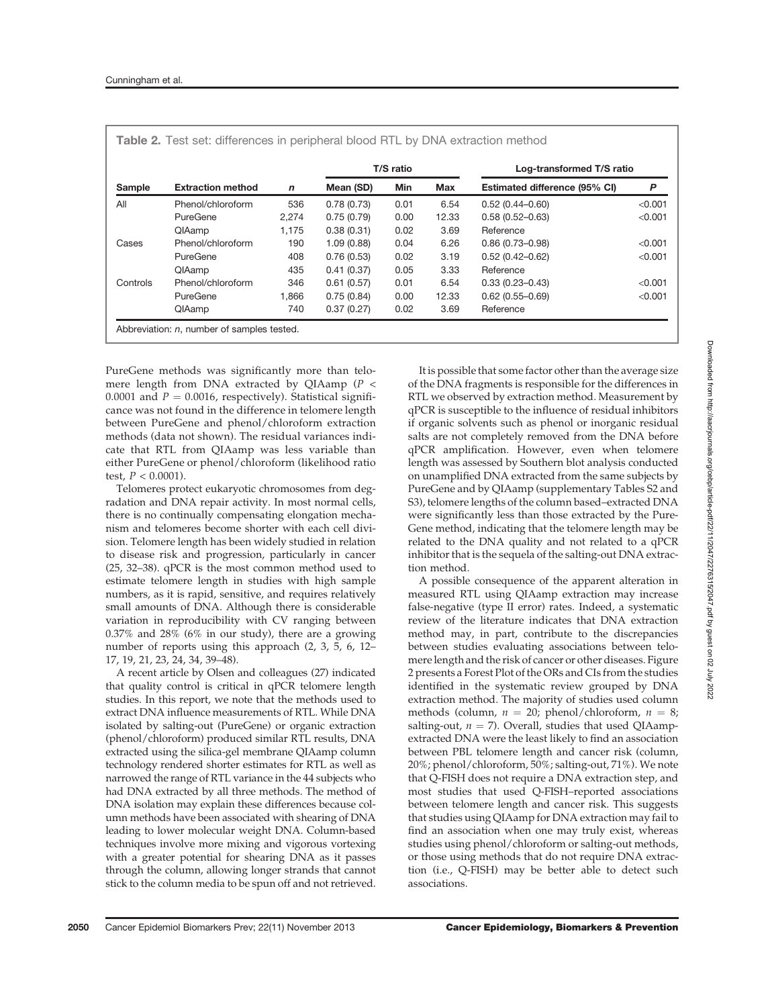|          |                          |             | T/S ratio  |      |       | Log-transformed T/S ratio     |         |
|----------|--------------------------|-------------|------------|------|-------|-------------------------------|---------|
| Sample   | <b>Extraction method</b> | $\mathbf n$ | Mean (SD)  | Min  | Max   | Estimated difference (95% CI) | P       |
| All      | Phenol/chloroform        | 536         | 0.78(0.73) | 0.01 | 6.54  | $0.52(0.44 - 0.60)$           | < 0.001 |
|          | PureGene                 | 2,274       | 0.75(0.79) | 0.00 | 12.33 | $0.58(0.52 - 0.63)$           | < 0.001 |
|          | QIAamp                   | 1.175       | 0.38(0.31) | 0.02 | 3.69  | Reference                     |         |
| Cases    | Phenol/chloroform        | 190         | 1.09(0.88) | 0.04 | 6.26  | $0.86(0.73 - 0.98)$           | < 0.001 |
|          | PureGene                 | 408         | 0.76(0.53) | 0.02 | 3.19  | $0.52(0.42 - 0.62)$           | < 0.001 |
|          | QIAamp                   | 435         | 0.41(0.37) | 0.05 | 3.33  | Reference                     |         |
| Controls | Phenol/chloroform        | 346         | 0.61(0.57) | 0.01 | 6.54  | $0.33(0.23 - 0.43)$           | < 0.001 |
|          | PureGene                 | 1.866       | 0.75(0.84) | 0.00 | 12.33 | $0.62(0.55 - 0.69)$           | < 0.001 |
|          | QIAamp                   | 740         | 0.37(0.27) | 0.02 | 3.69  | Reference                     |         |

PureGene methods was significantly more than telomere length from DNA extracted by QIAamp ( $P <$ 0.0001 and  $P = 0.0016$ , respectively). Statistical significance was not found in the difference in telomere length between PureGene and phenol/chloroform extraction methods (data not shown). The residual variances indicate that RTL from QIAamp was less variable than either PureGene or phenol/chloroform (likelihood ratio test,  $P < 0.0001$ ).

Telomeres protect eukaryotic chromosomes from degradation and DNA repair activity. In most normal cells, there is no continually compensating elongation mechanism and telomeres become shorter with each cell division. Telomere length has been widely studied in relation to disease risk and progression, particularly in cancer (25, 32–38). qPCR is the most common method used to estimate telomere length in studies with high sample numbers, as it is rapid, sensitive, and requires relatively small amounts of DNA. Although there is considerable variation in reproducibility with CV ranging between 0.37% and 28% (6% in our study), there are a growing number of reports using this approach (2, 3, 5, 6, 12– 17, 19, 21, 23, 24, 34, 39–48).

A recent article by Olsen and colleagues (27) indicated that quality control is critical in qPCR telomere length studies. In this report, we note that the methods used to extract DNA influence measurements of RTL. While DNA isolated by salting-out (PureGene) or organic extraction (phenol/chloroform) produced similar RTL results, DNA extracted using the silica-gel membrane QIAamp column technology rendered shorter estimates for RTL as well as narrowed the range of RTL variance in the 44 subjects who had DNA extracted by all three methods. The method of DNA isolation may explain these differences because column methods have been associated with shearing of DNA leading to lower molecular weight DNA. Column-based techniques involve more mixing and vigorous vortexing with a greater potential for shearing DNA as it passes through the column, allowing longer strands that cannot stick to the column media to be spun off and not retrieved.

It is possible that some factor other than the average size of the DNA fragments is responsible for the differences in RTL we observed by extraction method. Measurement by qPCR is susceptible to the influence of residual inhibitors if organic solvents such as phenol or inorganic residual salts are not completely removed from the DNA before qPCR amplification. However, even when telomere length was assessed by Southern blot analysis conducted on unamplified DNA extracted from the same subjects by PureGene and by QIAamp (supplementary Tables S2 and S3), telomere lengths of the column based–extracted DNA were significantly less than those extracted by the Pure-Gene method, indicating that the telomere length may be related to the DNA quality and not related to a qPCR inhibitor that is the sequela of the salting-out DNA extraction method.

A possible consequence of the apparent alteration in measured RTL using QIAamp extraction may increase false-negative (type II error) rates. Indeed, a systematic review of the literature indicates that DNA extraction method may, in part, contribute to the discrepancies between studies evaluating associations between telomere length and the risk of cancer or other diseases. Figure 2 presents a Forest Plot of the ORs and CIs from the studies identified in the systematic review grouped by DNA extraction method. The majority of studies used column methods (column,  $n = 20$ ; phenol/chloroform,  $n = 8$ ; salting-out,  $n = 7$ ). Overall, studies that used QIAampextracted DNA were the least likely to find an association between PBL telomere length and cancer risk (column, 20%; phenol/chloroform, 50%; salting-out, 71%). We note that Q-FISH does not require a DNA extraction step, and most studies that used Q-FISH–reported associations between telomere length and cancer risk. This suggests that studies using QIAamp for DNA extraction may fail to find an association when one may truly exist, whereas studies using phenol/chloroform or salting-out methods, or those using methods that do not require DNA extraction (i.e., Q-FISH) may be better able to detect such associations.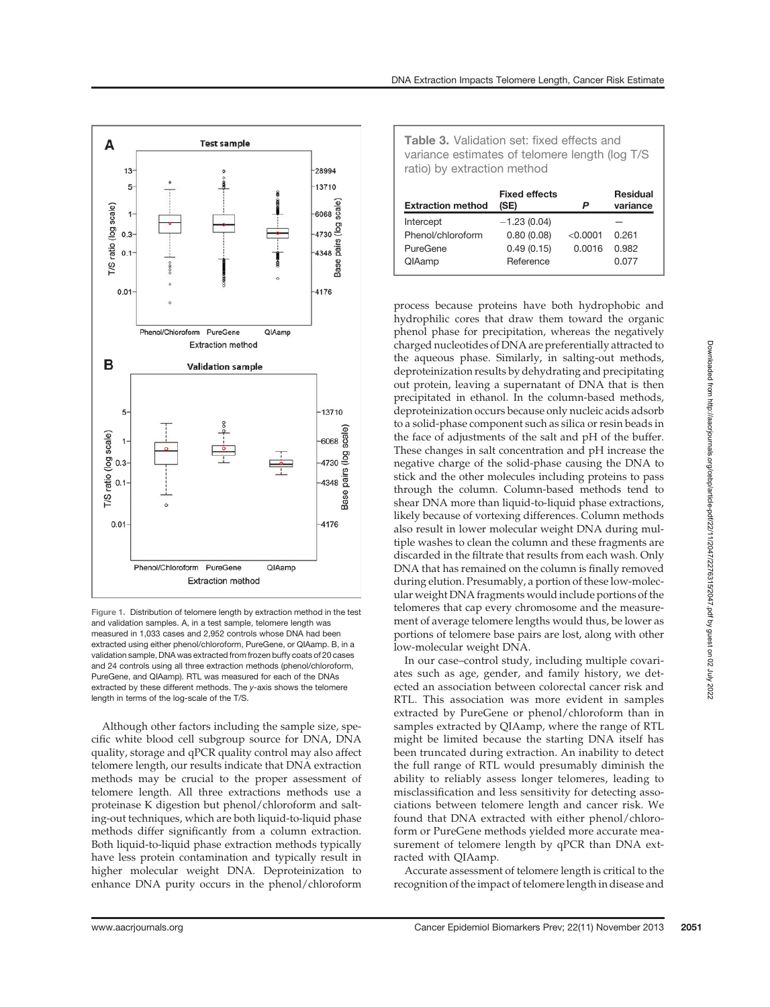

Figure 1. Distribution of telomere length by extraction method in the test and validation samples. A, in a test sample, telomere length was measured in 1,033 cases and 2,952 controls whose DNA had been extracted using either phenol/chloroform, PureGene, or QIAamp. B, in a validation sample, DNA was extracted from frozen buffy coats of 20 cases and 24 controls using all three extraction methods (phenol/chloroform, PureGene, and QIAamp). RTL was measured for each of the DNAs extracted by these different methods. The y-axis shows the telomere length in terms of the log-scale of the T/S.

Although other factors including the sample size, specific white blood cell subgroup source for DNA, DNA quality, storage and qPCR quality control may also affect telomere length, our results indicate that DNA extraction methods may be crucial to the proper assessment of telomere length. All three extractions methods use a proteinase K digestion but phenol/chloroform and salting-out techniques, which are both liquid-to-liquid phase methods differ significantly from a column extraction. Both liquid-to-liquid phase extraction methods typically have less protein contamination and typically result in higher molecular weight DNA. Deproteinization to enhance DNA purity occurs in the phenol/chloroform

Table 3. Validation set: fixed effects and variance estimates of telomere length (log T/S ratio) by extraction method

| <b>Extraction method</b> | <b>Fixed effects</b><br>(SE) | P        | Residual<br>variance |
|--------------------------|------------------------------|----------|----------------------|
| Intercept                | $-1.23(0.04)$                |          |                      |
| Phenol/chloroform        | 0.80(0.08)                   | < 0.0001 | 0.261                |
| PureGene                 | 0.49(0.15)                   | 0.0016   | 0.982                |
| QIAamp                   | Reference                    |          | 0.077                |

process because proteins have both hydrophobic and hydrophilic cores that draw them toward the organic phenol phase for precipitation, whereas the negatively charged nucleotides of DNA are preferentially attracted to the aqueous phase. Similarly, in salting-out methods, deproteinization results by dehydrating and precipitating out protein, leaving a supernatant of DNA that is then precipitated in ethanol. In the column-based methods, deproteinization occurs because only nucleic acids adsorb to a solid-phase component such as silica or resin beads in the face of adjustments of the salt and pH of the buffer. These changes in salt concentration and pH increase the negative charge of the solid-phase causing the DNA to stick and the other molecules including proteins to pass through the column. Column-based methods tend to shear DNA more than liquid-to-liquid phase extractions, likely because of vortexing differences. Column methods also result in lower molecular weight DNA during multiple washes to clean the column and these fragments are discarded in the filtrate that results from each wash. Only DNA that has remained on the column is finally removed during elution. Presumably, a portion of these low-molecular weight DNA fragments would include portions of the telomeres that cap every chromosome and the measurement of average telomere lengths would thus, be lower as portions of telomere base pairs are lost, along with other low-molecular weight DNA.

In our case–control study, including multiple covariates such as age, gender, and family history, we detected an association between colorectal cancer risk and RTL. This association was more evident in samples extracted by PureGene or phenol/chloroform than in samples extracted by QIAamp, where the range of RTL might be limited because the starting DNA itself has been truncated during extraction. An inability to detect the full range of RTL would presumably diminish the ability to reliably assess longer telomeres, leading to misclassification and less sensitivity for detecting associations between telomere length and cancer risk. We found that DNA extracted with either phenol/chloroform or PureGene methods yielded more accurate measurement of telomere length by qPCR than DNA extracted with QIAamp.

Accurate assessment of telomere length is critical to the recognition of the impact of telomere length in disease and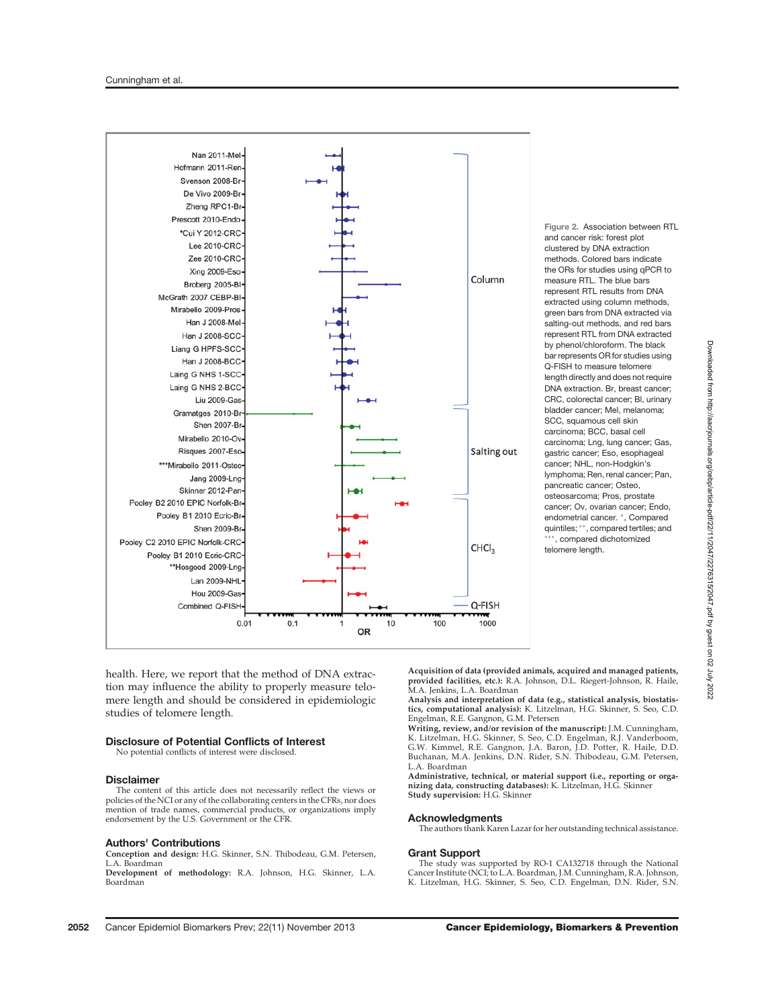

Figure 2. Association between RTL and cancer risk: forest plot clustered by DNA extraction methods. Colored bars indicate the ORs for studies using qPCR to measure RTL. The blue bars represent RTL results from DNA extracted using column methods, green bars from DNA extracted via salting-out methods, and red bars represent RTL from DNA extracted by phenol/chloroform. The black bar represents OR for studies using Q-FISH to measure telomere length directly and does not require DNA extraction. Br, breast cancer; CRC, colorectal cancer; Bl, urinary bladder cancer; Mel, melanoma; SCC, squamous cell skin carcinoma; BCC, basal cell carcinoma; Lng, lung cancer; Gas, gastric cancer; Eso, esophageal cancer; NHL, non-Hodgkin's lymphoma; Ren, renal cancer; Pan, pancreatic cancer; Osteo, osteosarcoma; Pros, prostate cancer; Ov, ovarian cancer; Endo, endometrial cancer. \*. Compared quintiles; \*\*, compared tertiles; and , compared dichotomized telomere length.

health. Here, we report that the method of DNA extraction may influence the ability to properly measure telomere length and should be considered in epidemiologic studies of telomere length.

#### Disclosure of Potential Conflicts of Interest

No potential conflicts of interest were disclosed.

#### Disclaimer

The content of this article does not necessarily reflect the views or policies of the NCI or any of the collaborating centers in the CFRs, nor does mention of trade names, commercial products, or organizations imply endorsement by the U.S. Government or the CFR.

## Authors' Contributions

Conception and design: H.G. Skinner, S.N. Thibodeau, G.M. Petersen, L.A. Boardman Development of methodology: R.A. Johnson, H.G. Skinner, L.A. Boardman

Acquisition of data (provided animals, acquired and managed patients, provided facilities, etc.): R.A. Johnson, D.L. Riegert-Johnson, R. Haile, M.A. Jenkins, L.A. Boardman

Analysis and interpretation of data (e.g., statistical analysis, biostatistics, computational analysis): K. Litzelman, H.G. Skinner, S. Seo, C.D. Engelman, R.E. Gangnon, G.M. Petersen

Writing, review, and/or revision of the manuscript: J.M. Cunningham, K. Litzelman, H.G. Skinner, S. Seo, C.D. Engelman, R.J. Vanderboom, G.W. Kimmel, R.E. Gangnon, J.A. Baron, J.D. Potter, R. Haile, D.D. Buchanan, M.A. Jenkins, D.N. Rider, S.N. Thibodeau, G.M. Petersen, L.A. Boardman

Administrative, technical, or material support (i.e., reporting or organizing data, constructing databases): K. Litzelman, H.G. Skinner Study supervision: H.G. Skinner

#### Acknowledgments

The authors thank Karen Lazar for her outstanding technical assistance.

#### Grant Support

The study was supported by RO-1 CA132718 through the National Cancer Institute (NCI; to L.A. Boardman, J.M. Cunningham, R.A. Johnson, K. Litzelman, H.G. Skinner, S. Seo, C.D. Engelman, D.N. Rider, S.N.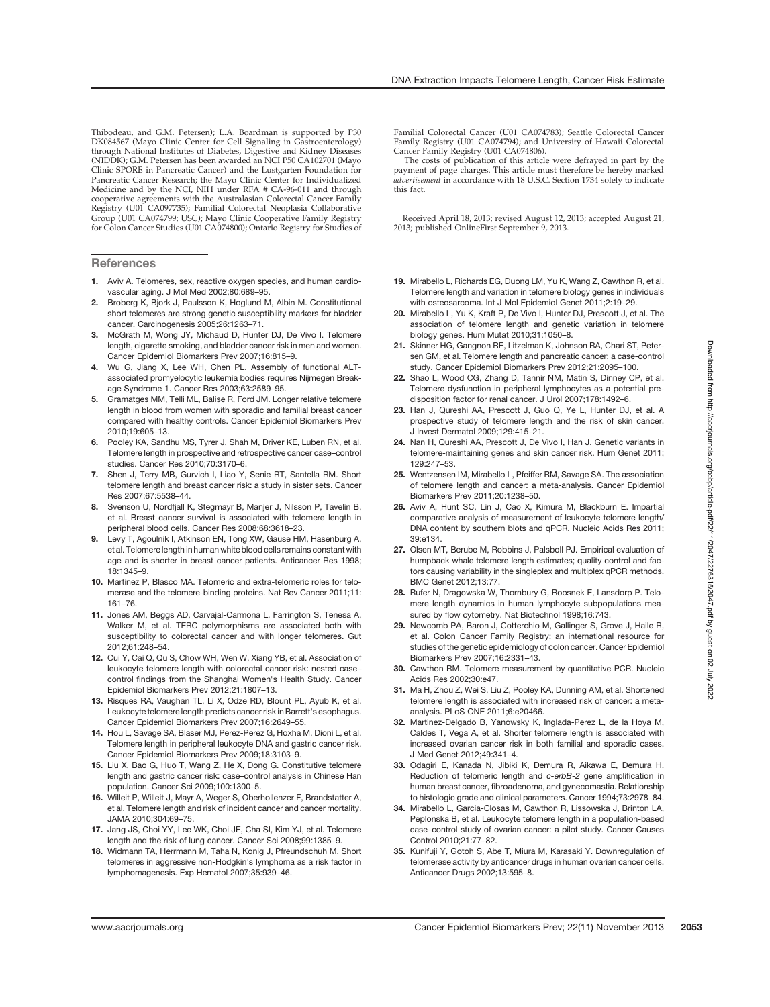Thibodeau, and G.M. Petersen); L.A. Boardman is supported by P30 DK084567 (Mayo Clinic Center for Cell Signaling in Gastroenterology) through National Institutes of Diabetes, Digestive and Kidney Diseases (NIDDK); G.M. Petersen has been awarded an NCI P50 CA102701 (Mayo Clinic SPORE in Pancreatic Cancer) and the Lustgarten Foundation for Pancreatic Cancer Research; the Mayo Clinic Center for Individualized Medicine and by the NCI, NIH under RFA # CA-96-011 and through cooperative agreements with the Australasian Colorectal Cancer Family Registry (U01 CA097735); Familial Colorectal Neoplasia Collaborative Group (U01 CA074799; USC); Mayo Clinic Cooperative Family Registry for Colon Cancer Studies (U01 CA074800); Ontario Registry for Studies of

# **References**

- 1. Aviv A. Telomeres, sex, reactive oxygen species, and human cardiovascular aging. J Mol Med 2002;80:689–95.
- 2. Broberg K, Bjork J, Paulsson K, Hoglund M, Albin M. Constitutional short telomeres are strong genetic susceptibility markers for bladder cancer. Carcinogenesis 2005;26:1263–71.
- McGrath M, Wong JY, Michaud D, Hunter DJ, De Vivo I. Telomere length, cigarette smoking, and bladder cancer risk in men and women. Cancer Epidemiol Biomarkers Prev 2007;16:815–9.
- 4. Wu G, Jiang X, Lee WH, Chen PL. Assembly of functional ALTassociated promyelocytic leukemia bodies requires Nijmegen Breakage Syndrome 1. Cancer Res 2003;63:2589–95.
- 5. Gramatges MM, Telli ML, Balise R, Ford JM. Longer relative telomere length in blood from women with sporadic and familial breast cancer compared with healthy controls. Cancer Epidemiol Biomarkers Prev 2010;19:605–13.
- Pooley KA, Sandhu MS, Tyrer J, Shah M, Driver KE, Luben RN, et al. Telomere length in prospective and retrospective cancer case–control studies. Cancer Res 2010;70:3170–6.
- 7. Shen J, Terry MB, Gurvich I, Liao Y, Senie RT, Santella RM. Short telomere length and breast cancer risk: a study in sister sets. Cancer Res 2007;67:5538–44.
- 8. Svenson U, Nordfjall K, Stegmayr B, Manjer J, Nilsson P, Tavelin B, et al. Breast cancer survival is associated with telomere length in peripheral blood cells. Cancer Res 2008;68:3618–23.
- 9. Levy T, Agoulnik I, Atkinson EN, Tong XW, Gause HM, Hasenburg A, et al. Telomere length in human white blood cells remains constant with age and is shorter in breast cancer patients. Anticancer Res 1998; 18:1345–9.
- 10. Martinez P, Blasco MA. Telomeric and extra-telomeric roles for telomerase and the telomere-binding proteins. Nat Rev Cancer 2011;11: 161–76.
- 11. Jones AM, Beggs AD, Carvajal-Carmona L, Farrington S, Tenesa A, Walker M, et al. TERC polymorphisms are associated both with susceptibility to colorectal cancer and with longer telomeres. Gut 2012;61:248–54.
- 12. Cui Y, Cai Q, Qu S, Chow WH, Wen W, Xiang YB, et al. Association of leukocyte telomere length with colorectal cancer risk: nested case– control findings from the Shanghai Women's Health Study. Cancer Epidemiol Biomarkers Prev 2012;21:1807–13.
- 13. Risques RA, Vaughan TL, Li X, Odze RD, Blount PL, Ayub K, et al. Leukocyte telomere length predicts cancer risk in Barrett's esophagus. Cancer Epidemiol Biomarkers Prev 2007;16:2649–55.
- 14. Hou L, Savage SA, Blaser MJ, Perez-Perez G, Hoxha M, Dioni L, et al. Telomere length in peripheral leukocyte DNA and gastric cancer risk. Cancer Epidemiol Biomarkers Prev 2009;18:3103–9.
- 15. Liu X, Bao G, Huo T, Wang Z, He X, Dong G. Constitutive telomere length and gastric cancer risk: case–control analysis in Chinese Han population. Cancer Sci 2009;100:1300–5.
- 16. Willeit P, Willeit J, Mayr A, Weger S, Oberhollenzer F, Brandstatter A, et al. Telomere length and risk of incident cancer and cancer mortality. JAMA 2010;304:69–75.
- 17. Jang JS, Choi YY, Lee WK, Choi JE, Cha SI, Kim YJ, et al. Telomere length and the risk of lung cancer. Cancer Sci 2008;99:1385–9.
- 18. Widmann TA, Herrmann M, Taha N, Konig J, Pfreundschuh M. Short telomeres in aggressive non-Hodgkin's lymphoma as a risk factor in lymphomagenesis. Exp Hematol 2007;35:939–46.

Familial Colorectal Cancer (U01 CA074783); Seattle Colorectal Cancer Family Registry (U01 CA074794); and University of Hawaii Colorectal Cancer Family Registry (U01 CA074806).

The costs of publication of this article were defrayed in part by the payment of page charges. This article must therefore be hereby marked advertisement in accordance with 18 U.S.C. Section 1734 solely to indicate this fact.

Received April 18, 2013; revised August 12, 2013; accepted August 21, 2013; published OnlineFirst September 9, 2013.

- 19. Mirabello L, Richards EG, Duong LM, Yu K, Wang Z, Cawthon R, et al. Telomere length and variation in telomere biology genes in individuals with osteosarcoma. Int J Mol Epidemiol Genet 2011;2:19–29.
- 20. Mirabello L, Yu K, Kraft P, De Vivo I, Hunter DJ, Prescott J, et al. The association of telomere length and genetic variation in telomere biology genes. Hum Mutat 2010;31:1050–8.
- 21. Skinner HG, Gangnon RE, Litzelman K, Johnson RA, Chari ST, Petersen GM, et al. Telomere length and pancreatic cancer: a case-control study. Cancer Epidemiol Biomarkers Prev 2012;21:2095–100.
- 22. Shao L, Wood CG, Zhang D, Tannir NM, Matin S, Dinney CP, et al. Telomere dysfunction in peripheral lymphocytes as a potential predisposition factor for renal cancer. J Urol 2007;178:1492–6.
- 23. Han J. Qureshi AA, Prescott J. Guo Q. Ye L. Hunter DJ, et al. A prospective study of telomere length and the risk of skin cancer. J Invest Dermatol 2009;129:415–21.
- 24. Nan H, Qureshi AA, Prescott J, De Vivo I, Han J. Genetic variants in telomere-maintaining genes and skin cancer risk. Hum Genet 2011; 129:247–53.
- 25. Wentzensen IM, Mirabello L, Pfeiffer RM, Savage SA. The association of telomere length and cancer: a meta-analysis. Cancer Epidemiol Biomarkers Prev 2011;20:1238–50.
- 26. Aviv A, Hunt SC, Lin J, Cao X, Kimura M, Blackburn E. Impartial comparative analysis of measurement of leukocyte telomere length/ DNA content by southern blots and qPCR. Nucleic Acids Res 2011; 39:e134.
- 27. Olsen MT, Berube M, Robbins J, Palsboll PJ. Empirical evaluation of humpback whale telomere length estimates; quality control and factors causing variability in the singleplex and multiplex qPCR methods. BMC Genet 2012;13:77.
- 28. Rufer N, Dragowska W, Thornbury G, Roosnek E, Lansdorp P. Telomere length dynamics in human lymphocyte subpopulations measured by flow cytometry. Nat Biotechnol 1998;16:743.
- 29. Newcomb PA, Baron J, Cotterchio M, Gallinger S, Grove J, Haile R, et al. Colon Cancer Family Registry: an international resource for studies of the genetic epidemiology of colon cancer. Cancer Epidemiol Biomarkers Prev 2007;16:2331–43.
- 30. Cawthon RM. Telomere measurement by quantitative PCR. Nucleic Acids Res 2002;30:e47.
- 31. Ma H, Zhou Z, Wei S, Liu Z, Pooley KA, Dunning AM, et al. Shortened telomere length is associated with increased risk of cancer: a metaanalysis. PLoS ONE 2011;6:e20466.
- 32. Martinez-Delgado B, Yanowsky K, Inglada-Perez L, de la Hoya M, Caldes T, Vega A, et al. Shorter telomere length is associated with increased ovarian cancer risk in both familial and sporadic cases. J Med Genet 2012;49:341–4.
- 33. Odagiri E, Kanada N, Jibiki K, Demura R, Aikawa E, Demura H. Reduction of telomeric length and c-erbB-2 gene amplification in human breast cancer, fibroadenoma, and gynecomastia. Relationship to histologic grade and clinical parameters. Cancer 1994;73:2978–84.
- 34. Mirabello L, Garcia-Closas M, Cawthon R, Lissowska J, Brinton LA, Peplonska B, et al. Leukocyte telomere length in a population-based case–control study of ovarian cancer: a pilot study. Cancer Causes Control 2010;21:77–82.
- 35. Kunifuji Y, Gotoh S, Abe T, Miura M, Karasaki Y. Downregulation of telomerase activity by anticancer drugs in human ovarian cancer cells. Anticancer Drugs 2002;13:595–8.